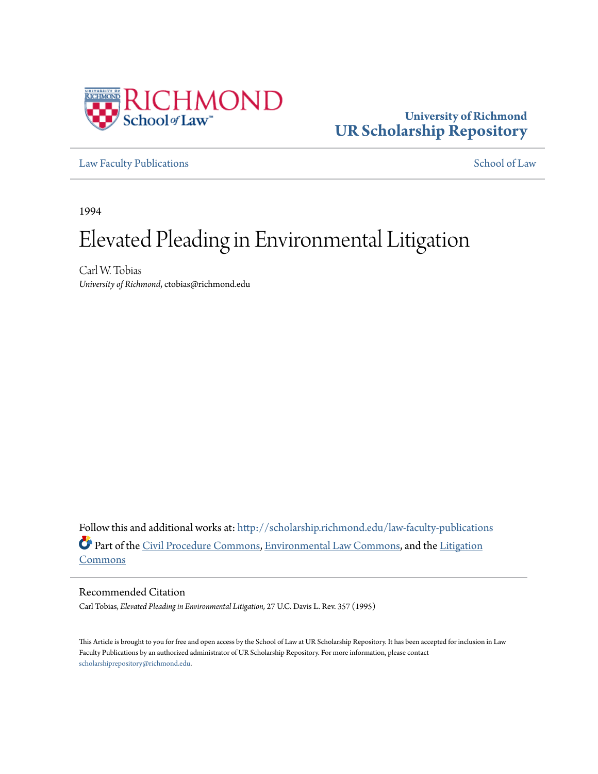

# **University of Richmond [UR Scholarship Repository](http://scholarship.richmond.edu?utm_source=scholarship.richmond.edu%2Flaw-faculty-publications%2F704&utm_medium=PDF&utm_campaign=PDFCoverPages)**

[Law Faculty Publications](http://scholarship.richmond.edu/law-faculty-publications?utm_source=scholarship.richmond.edu%2Flaw-faculty-publications%2F704&utm_medium=PDF&utm_campaign=PDFCoverPages) [School of Law](http://scholarship.richmond.edu/law?utm_source=scholarship.richmond.edu%2Flaw-faculty-publications%2F704&utm_medium=PDF&utm_campaign=PDFCoverPages)

1994

# Elevated Pleading in Environmental Litigation

Carl W. Tobias *University of Richmond*, ctobias@richmond.edu

Follow this and additional works at: [http://scholarship.richmond.edu/law-faculty-publications](http://scholarship.richmond.edu/law-faculty-publications?utm_source=scholarship.richmond.edu%2Flaw-faculty-publications%2F704&utm_medium=PDF&utm_campaign=PDFCoverPages) Part of the [Civil Procedure Commons](http://network.bepress.com/hgg/discipline/584?utm_source=scholarship.richmond.edu%2Flaw-faculty-publications%2F704&utm_medium=PDF&utm_campaign=PDFCoverPages), [Environmental Law Commons,](http://network.bepress.com/hgg/discipline/599?utm_source=scholarship.richmond.edu%2Flaw-faculty-publications%2F704&utm_medium=PDF&utm_campaign=PDFCoverPages) and the [Litigation](http://network.bepress.com/hgg/discipline/910?utm_source=scholarship.richmond.edu%2Flaw-faculty-publications%2F704&utm_medium=PDF&utm_campaign=PDFCoverPages) [Commons](http://network.bepress.com/hgg/discipline/910?utm_source=scholarship.richmond.edu%2Flaw-faculty-publications%2F704&utm_medium=PDF&utm_campaign=PDFCoverPages)

Recommended Citation

Carl Tobias, *Elevated Pleading in Environmental Litigation,* 27 U.C. Davis L. Rev. 357 (1995)

This Article is brought to you for free and open access by the School of Law at UR Scholarship Repository. It has been accepted for inclusion in Law Faculty Publications by an authorized administrator of UR Scholarship Repository. For more information, please contact [scholarshiprepository@richmond.edu.](mailto:scholarshiprepository@richmond.edu)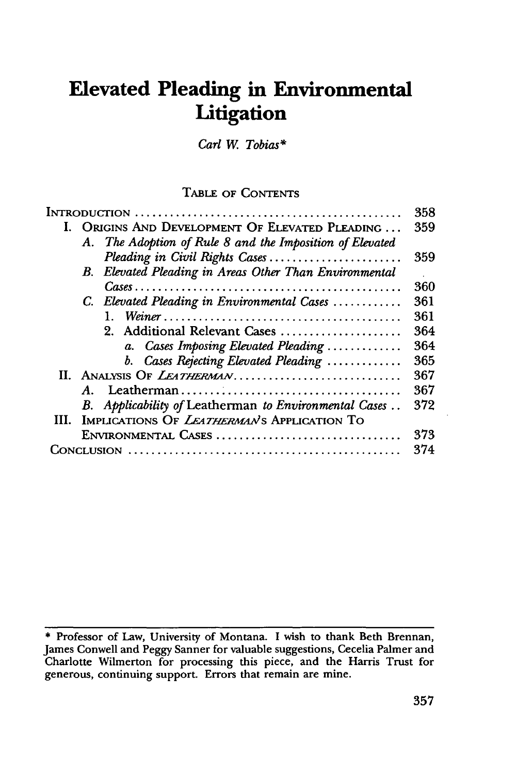# **Elevated Pleading in Environmental Litigation**

*Carl* W. *Tobias\** 

# TABLE OF CONTENTS

|  |                                                  |                                                          | 358 |
|--|--------------------------------------------------|----------------------------------------------------------|-----|
|  | I. ORIGINS AND DEVELOPMENT OF ELEVATED PLEADING  |                                                          | 359 |
|  |                                                  | A. The Adoption of Rule 8 and the Imposition of Elevated |     |
|  |                                                  | Pleading in Civil Rights Cases                           | 359 |
|  |                                                  | B. Elevated Pleading in Areas Other Than Environmental   |     |
|  |                                                  |                                                          | 360 |
|  |                                                  | C. Elevated Pleading in Environmental Cases              | 361 |
|  |                                                  |                                                          | 361 |
|  |                                                  | 2. Additional Relevant Cases                             | 364 |
|  |                                                  | a. Cases Imposing Elevated Pleading                      | 364 |
|  |                                                  | b. Cases Rejecting Elevated Pleading                     | 365 |
|  | II. ANALYSIS OF LEATHERMAN                       |                                                          | 367 |
|  |                                                  |                                                          | 367 |
|  |                                                  | B. Applicability of Leatherman to Environmental Cases    | 372 |
|  | III. IMPLICATIONS OF LEATHERMAN'S APPLICATION TO |                                                          |     |
|  |                                                  | ENVIRONMENTAL CASES                                      | 373 |
|  |                                                  |                                                          | 374 |
|  |                                                  |                                                          |     |

<sup>\*</sup> Professor of Law, University of Montana. I wish to thank Beth Brennan, James Conwell and Peggy Sanner for valuable suggestions, Cecelia Palmer and Charlotte Wilmerton for processing this piece, and the Harris Trust for generous, continuing support. Errors that remain are mine.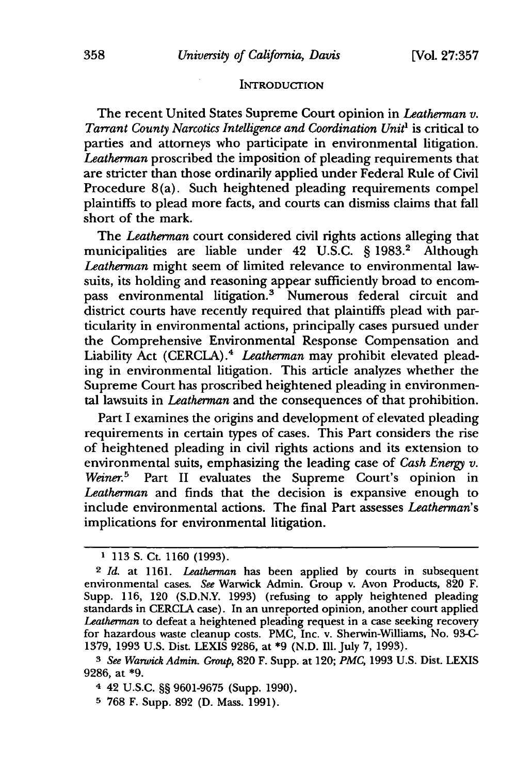#### **INTRODUCTION**

The recent United States Supreme Court opinion in *Leatherman v. Tarrant County Narcotics Intelligence and Coordination Unit1* is critical to parties and attorneys who participate in environmental litigation. *Leatherman* proscribed the imposition of pleading requirements that are stricter than those ordinarily applied under Federal Rule of Civil Procedure 8(a). Such heightened pleading requirements compel plaintiffs to plead more facts, and courts can dismiss claims that fall short of the mark.

The *Leatherman* court considered civil rights actions alleging that municipalities are liable under 42 U.S.C. § 1983.<sup>2</sup> Although *Leatherman* might seem of limited relevance to environmental lawsuits, its holding and reasoning appear sufficiently broad to encompass environmental litigation.<sup>3</sup> Numerous federal circuit and district courts have recently required that plaintiffs plead with particularity in environmental actions, principally cases pursued under the Comprehensive Environmental Response Compensation and Liability Act (CERCLA).<sup>4</sup> Leatherman may prohibit elevated pleading in environmental litigation. This article analyzes whether the Supreme Court has proscribed heightened pleading in environmental lawsuits in *Leatherman* and the consequences of that prohibition.

Part I examines the origins and development of elevated pleading requirements in certain types of cases. This Part considers the rise of heightened pleading in civil rights actions and its extension to environmental suits, emphasizing the leading case of *Cash Energy v.*  Weiner.<sup>5</sup> Part II evaluates the Supreme Court's opinion in *Leatherman* and finds that the decision is expansive enough to include environmental actions. The final Part assesses *Leatherman's*  implications for environmental litigation.

<sup>&</sup>lt;sup>1</sup> 113 S. Ct. 1160 (1993).

<sup>2</sup>*Id.* at 1161. *Leatherman* has been applied by courts in subsequent environmental cases. *See* Warwick Admin. Group v. Avon Products, 820 F. Supp. 116, 120 (S.D.N.Y. 1993) (refusing to apply heightened pleading standards in CERCLA case). In an unreported opinion, another court applied *Leatherman* to defeat a heightened pleading request in a case seeking recovery for hazardous waste cleanup costs. PMC, Inc. v. Sherwin-Williams, No. 93-C-1379, 1993 U.S. Dist. LEXIS 9286, at \*9 (N.D. Ill. July 7, 1993).

<sup>3</sup>*See WmwickAdmin. Group,* 820 F. Supp. at 120; *PMC,* 1993 U.S. Dist. LEXIS 9286, at \*9.

<sup>4</sup>42 U.S.C. §§ 9601-9675 (Supp. 1990).

<sup>5 768</sup> F. Supp. 892 (D. Mass. 1991).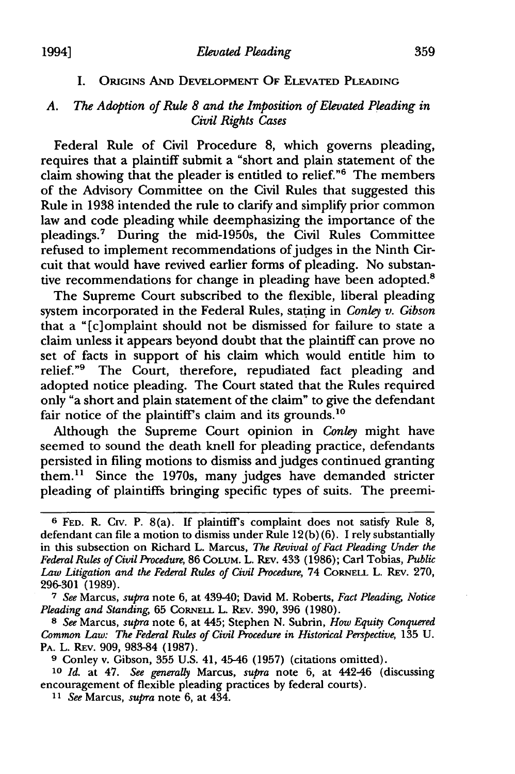#### I. ORIGINS AND DEVELOPMENT OF ELEVATED PLEADING

# A. The Adoption of Rule 8 and the Imposition of Elevated Pleading in *Civil Rights Cases*

Federal Rule of Civil Procedure 8, which governs pleading, requires that a plaintiff submit a "short and plain statement of the claim showing that the pleader is entitled to relief."<sup>6</sup> The members of the Advisory Committee on the Civil Rules that suggested this Rule in 1938 intended the rule to clarify and simplify prior common law and code pleading while deemphasizing the importance of the pleadings. 7 During the mid-1950s, the Civil Rules Committee refused to implement recommendations of judges in the Ninth Circuit that would have revived earlier forms of pleading. No substantive recommendations for change in pleading have been adopted.<sup>8</sup>

The Supreme Court subscribed to the flexible, liberal pleading system incorporated in the Federal Rules, stating in *Conley v. Gibson* that a "[c]omplaint should not be dismissed for failure to state a claim unless it appears beyond doubt that the plaintiff can prove no set of facts in support of his claim which would entitle him to relief."<sup>9</sup> The Court, therefore, repudiated fact pleading and adopted notice pleading. The Court stated that the Rules required only "a short and plain statement of the claim" to give the defendant fair notice of the plaintiff's claim and its grounds.<sup>10</sup>

Although the Supreme Court opinion in *Conley* might have seemed to sound the death knell for pleading practice, defendants persisted in filing motions to dismiss and judges continued granting them.<sup>11</sup> Since the 1970s, many judges have demanded stricter pleading of plaintiffs bringing specific types of suits. The preemi-

7 *See* Marcus, *supra* note 6, at 439-40; David M. Roberts, *Fact P/.eading, Notice Pleading and Standing, 65 CORNELL L. REV. 390, 396 (1980).* 

s *See* Marcus, *supra* note 6, at 445; Stephen N. Subrin, *How Equity Conquered Common Law: The Federal Rules of Civil Procedure in Historical Perspective, 135 U.* PA. L. REv. 909, 983-84 (1987).

<sup>9</sup>Conley v. Gibson, 355 U.S. 41, 45-46 (1957) (citations omitted).

IO *Id.* at 47. *See generally* Marcus, *supra* note 6, at 442-46 (discussing encouragement of flexible pleading practices by federal courts).

I I *See* Marcus, *supra* note 6, at 434.

<sup>&</sup>lt;sup>6</sup> FED. R. CIV. P. 8(a). If plaintiff's complaint does not satisfy Rule 8, defendant can file a motion to dismiss under Rule 12(b) (6). I rely substantially in this subsection on Richard L. Marcus, *The Revival of Fact Pleading Under the* Federal Rules of Civil Procedure, 86 COLUM. L. REV. 433 (1986); Carl Tobias, Public Law Litigation and the Federal Rules of Civil Procedure, 74 CORNELL L. REV. 270, 296-301 (1989).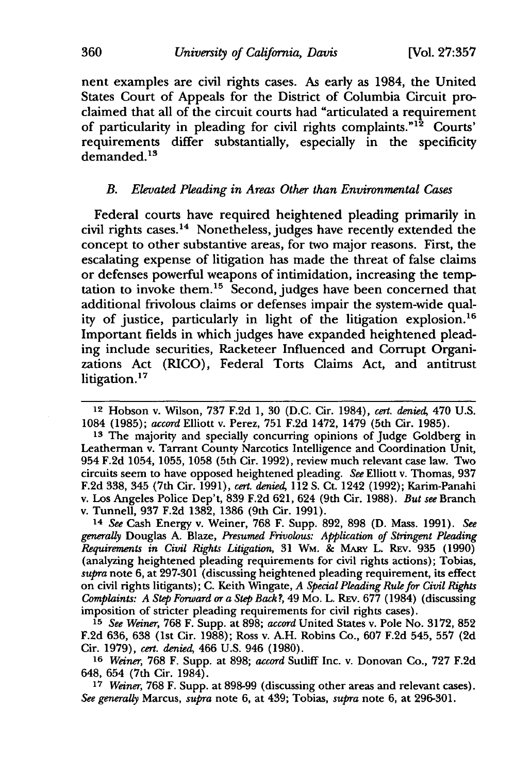nent examples are civil rights cases. As early as 1984, the United States Court of Appeals for the District of Columbia Circuit proclaimed that all of the circuit courts had "articulated a requirement of particularity in pleading for civil rights complaints." $1^{\frac{1}{2}}$  Courts' requirements differ substantially, especially in the specificity demanded.<sup>13</sup>

## *B. Elevated Pkading in Areas Other than Environmental Cases*

Federal courts have required heightened pleading primarily in civil rights cases.14 Nonetheless, judges have recently extended the concept to other substantive areas, for two major reasons. First, the escalating expense of litigation has made the threat of false claims or defenses powerful weapons of intimidation, increasing the temptation to invoke them. 15 Second, judges have been concerned that additional frivolous claims or defenses impair the system-wide quality of justice, particularly in light of the litigation explosion. <sup>16</sup> Important fields in which judges have expanded heightened pleading include securities, Racketeer Influenced and Corrupt Organizations Act (RICO), Federal Torts Claims Act, and antitrust litigation.<sup>17</sup>

14 *See* Cash Energy v. Weiner, 768 F. Supp. 892, 898 (D. Mass. 1991). *See generally* Douglas A. Blaze, *Presumed Frivolous: Application of Stringent Pl.eading Requirements in Civil Rights Litigation,* 31 WM. & MARY L. REv. 935 (1990) (analyzing heightened pleading requirements for civil rights actions); Tobias, *supra* note 6, at 297-301 (discussing heightened pleading requirement, its effect on civil rights litigants); C. Keith Wingate, *A Special Pleading Rule for Civil Rights Complaints: A Step Forward or a Step Back?,* 49 Mo. L. REv. 677 (1984) (discussing imposition of stricter pleading requirements for civil rights cases).

15 *See Weiner,* 768 F. Supp. at 898; *accord* United States v. Pole No. 3172, 852 F.2d 636, 638 (1st Cir. 1988); Ross v. A.H. Robins Co., 607 F.2d 545, 557 (2d Cir. 1979), *cert. denied,* 466 U.S. 946 (1980).

16 *Weiner,* 768 F. Supp. at 898; *accord* Sutliff Inc. v. Donovan Co., 727 F.2d 648, 654 (7th Cir. 1984).

17 *Weiner,* 768 F. Supp. at 898-99 (discussing other areas and relevant cases). *See generally* Marcus, *supra* note 6, at 439; Tobias, *supra* note 6, at 296-301.

<sup>12</sup> Hobson v. Wilson, 737 F.2d 1, 30 (D.C. Cir. 1984), *cert. denied,* 470 U.S. 1084 (1985); *accord* Elliott v. Perez, 751F.2d1472, 1479 (5th Cir. 1985).

<sup>&</sup>lt;sup>13</sup> The majority and specially concurring opinions of Judge Goldberg in Leatherman v. Tarrant County Narcotics Intelligence and Coordination Unit, 954 F.2d 1054, 1055, 1058 (5th Cir. 1992), review much relevant case law. Two circuits seem to have opposed heightened pleading. *See* Elliott v. Thomas, 937 F.2d 338, 345 (7th Cir. 1991), *cert. denied,* 112 S. Ct. 1242 (1992); Karim-Panahi v. Los Angeles Police Dep't, 839 F.2d 621, 624 (9th Cir. 1988). *But see* Branch v. Tunnell, 937 F.2d 1382, 1386 (9th Cir. 1991).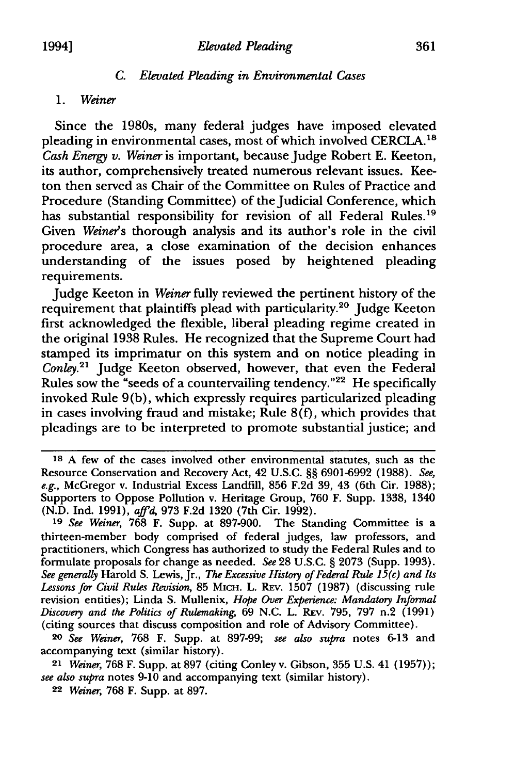#### C. *El£vated Pleading in Environmental Cases*

#### 1. *Weiner*

Since the 1980s, many federal judges have imposed elevated pleading in environmental cases, most of which involved CERClA. <sup>18</sup> *Cash Energy v. Weiner* is important, because Judge Robert E. Keeton, its author, comprehensively treated numerous relevant issues. Keeton then served as Chair of the Committee on Rules of Practice and Procedure (Standing Committee) of the Judicial Conference, which has substantial responsibility for revision of all Federal Rules.<sup>19</sup> Given *Weiner's* thorough analysis and its author's role in the civil procedure area, a close examination of the decision enhances understanding of the issues posed by heightened pleading requirements.

Judge Keeton in *Weiner* fully reviewed the pertinent history of the requirement that plaintiffs plead with particularity.20 Judge Keeton first acknowledged the flexible, liberal pleading regime created in the original 1938 Rules. He recognized that the Supreme Court had stamped its imprimatur on this system and on notice pleading in *Conle*y.<sup>21</sup> Judge Keeton observed, however, that even the Federal Rules sow the "seeds of a countervailing tendency. "22 He specifically invoked Rule 9(b), which expressly requires particularized pleading in cases involving fraud and mistake; Rule  $8(f)$ , which provides that pleadings are to be interpreted to promote substantial justice; and

20 *See Weiner,* 768 F. Supp. at 897-99; *see also supra* notes 6-13 and accompanying text (similar history).

<sup>21</sup>*Weiner,* 768 F. Supp. at 897 (citing Conley v. Gibson, 355 U.S. 41 (1957) ); *see also supra* notes 9-10 and accompanying text (similar history).

<sup>18</sup> A few of the cases involved other environmental statutes, such as the Resource Conservation and Recovery Act, 42 U.S.C. §§ 6901-6992 (1988). *See, e.g.,* McGregor v. Industrial Excess Landfill, 856 F.2d 39, 43 (6th Cir. 1988); Supporters to Oppose Pollution v. Heritage Group, 760 F. Supp. 1338, 1340 (N.D. Ind. 1991), *aff'd,* 973 F.2d 1320 (7th Cir. 1992).

<sup>19</sup> *See Weiner,* 768 F. Supp. at 897-900. The Standing Committee is a thirteen-member body comprised of federal judges, law professors, and practitioners, which Congress has authorized to study the Federal Rules and to formulate proposals for change as needed. *See* 28 U.S.C. § 2073 (Supp. 1993). *See generally* Harold S. Lewis, Jr., *The Excessive History of Federal Rul.e 15(c) and Its*  Lessons for Civil Rules Revision, 85 MICH. L. REV. 1507 (1987) (discussing rule revision entities); Linda S. Mullenix, *Hope Over Experience: Mandatory Informal Discovery and the Politics of Rulemaking,* 69 N.C. L. REV. 795, 797 n.2 (1991) (citing sources that discuss composition and role of Advisory Committee).

<sup>22</sup> *Weiner,* 768 F. Supp. at 897.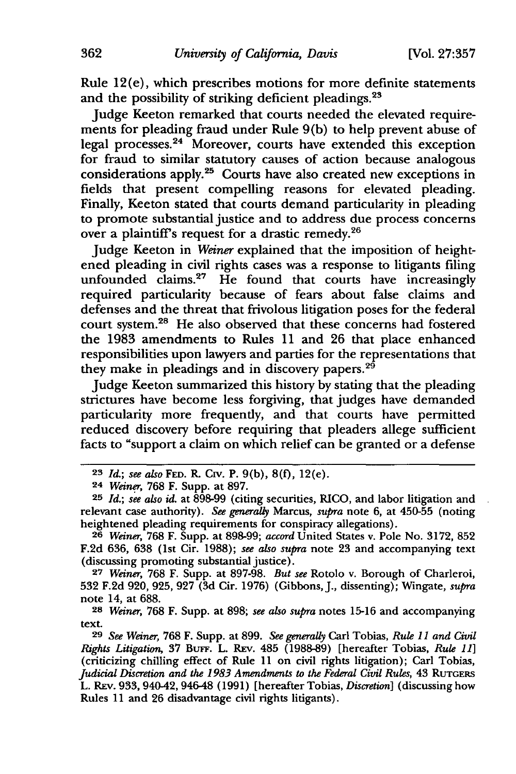Rule 12(e), which prescribes motions for more definite statements and the possibility of striking deficient pleadings.<sup>23</sup>

Judge Keeton remarked that courts needed the elevated requirements for pleading fraud under Rule 9(b) to help prevent abuse of legal processes. 24 Moreover, courts have extended this exception for fraud to similar statutory causes of action because analogous considerations apply.<sup>25</sup> Courts have also created new exceptions in fields that present compelling reasons for elevated pleading. Finally, Keeton stated that courts demand particularity in pleading to promote substantial justice and to address due process concerns over a plaintiff's request for a drastic remedy.<sup>26</sup>

Judge Keeton in *Weiner* explained that the imposition of heightened pleading in civil rights cases was a response to litigants filing unfounded claims.<sup>27</sup> He found that courts have increasingly required particularity because of fears about false claims and defenses and the threat that frivolous litigation poses for the federal court system.<sup>28</sup> He also observed that these concerns had fostered the 1983 amendments to Rules 11 and 26 that place enhanced responsibilities upon lawyers and parties for the representations that they make in pleadings and in discovery papers.<sup>29</sup>

Judge Keeton summarized this history by stating that the pleading strictures have become less forgiving, that judges have demanded particularity more frequently, and that courts have permitted reduced discovery before requiring that pleaders allege sufficient facts to "support a claim on which relief can be granted or a defense

<sup>28</sup>*Weiner,* 768 F. Supp. at 898; *see also supra* notes 15-16 and accompanying text.

<sup>23</sup> *Id.; see also* FED. R Crv. P. 9(b), 8(£), 12(e).

<sup>24</sup> Weiner, 768 F. Supp. at 897.

<sup>25</sup> *Id.; see also* id. at 898-99 (citing securities, RICO, and labor litigation and relevant case authority). *See generally* Marcus, *supra* note 6, at 450-55 (noting heightened pleading requirements for conspiracy allegations).

<sup>26</sup> *Weiner,* 768 F. Supp. at 898-99; *accurd* United States v. Pole No. 3172, 852 F.2d 636, 638 (1st Cir. 1988); *see also supra* note 23 and accompanying text (discussing promoting substantial justice).

<sup>27</sup> *Weiner,* 768 F. Supp. at 897-98. *But see* Rotolo v. Borough of Charleroi, 532 F.2d 920, 925, 927 (3d Cir. 1976) (Gibbons,]., dissenting); Wingate, *supra*  note 14, at 688.

<sup>&</sup>lt;sup>29</sup> See Weiner, 768 F. Supp. at 899. See generally Carl Tobias, Rule 11 and Civil *Rights Litigation, 37 BuFF. L. REV. 485 (1988-89) [hereafter Tobias, Rule 11]* (criticizing chilling effect of Rule 11 on civil rights litigation); Carl Tobias, *Judicial Discretion and the 1983 Amendments to the Federal Civil Rules, 43 RUTGERS* L. REv. 933, 940-42, 946-48 (1991) [hereafter Tobias, *Discretion]* (discussing how Rules 11 and 26 disadvantage civil rights litigants).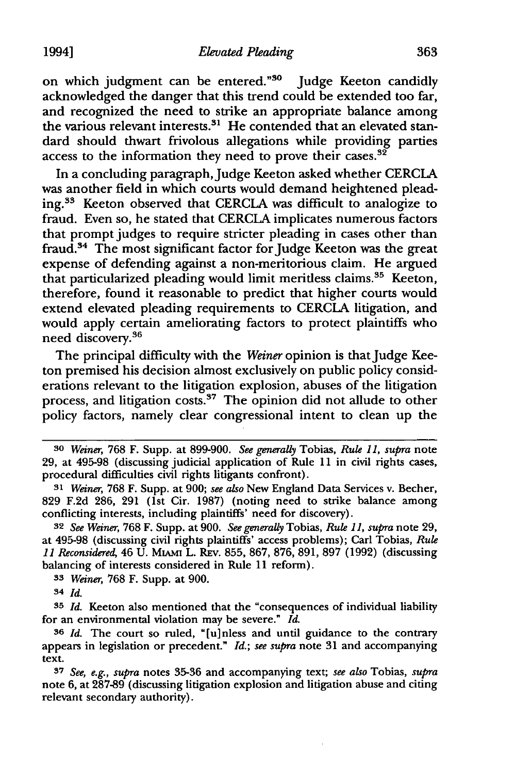on which judgment can be entered."<sup>30</sup> Judge Keeton candidly acknowledged the danger that this trend could be extended too far, and recognized the need to strike an appropriate balance among the various relevant interests.<sup>31</sup> He contended that an elevated standard should thwart frivolous allegations while providing parties access to the information they need to prove their cases.<sup>32</sup>

In a concluding paragraph, Judge Keeton asked whether CERCLA was another field in which courts would demand heightened pleading. 33 Keeton observed that CERCLA was difficult to analogize to fraud. Even so, he stated that CERCLA implicates numerous factors that prompt judges to require stricter pleading in cases other than fraud.<sup>34</sup> The most significant factor for Judge Keeton was the great expense of defending against a non-meritorious claim. He argued that particularized pleading would limit meritless claims.35 Keeton, therefore, found it reasonable to predict that higher courts would extend elevated pleading requirements to CERCLA litigation, and would apply certain ameliorating factors to protect plaintiffs who need discovery. 36

The principal difficulty with the *Weiner* opinion is that Judge Keeton premised his decision almost exclusively on public policy considerations relevant to the litigation explosion, abuses of the litigation process, and litigation costs.<sup>37</sup> The opinion did not allude to other policy factors, namely clear congressional intent to clean up the

<sup>30</sup> *Weiner,* 768 F. Supp. at 899-900. *See generally* Tobias, *Ruk 11, supra* note 29, at 495-98 (discussing judicial application of Rule 11 in civil rights cases, procedural difficulties civil rights litigants confront).

<sup>31</sup> *Weiner,* 768 F. Supp. at 900; *see also* New England Data Services v. Becher, 829 F.2d 286, 291 (1st Cir. 1987) (noting need to strike balance among conflicting interests, including plaintiffs' need for discovery).

<sup>32</sup>*See Weiner,* 768 F. Supp. at 900. *See generally* Tobias, *Ruk 11, supra* note 29, at 495-98 (discussing civil rights plaintiffs' access problems); Carl Tobias, *Ruk 11 Reconsidered,* 46 U. MIAMI L. REv. 855, 867, 876, 891, 897 (1992) (discussing balancing of interests considered in Rule 11 reform).

<sup>33</sup> *Weiner,* 768 F. Supp. at 900.

<sup>34</sup> *Id.* 

<sup>35</sup> *Id.* Keeton also mentioned that the "consequences of individual liability for an environmental violation may be severe." *Id.* 

<sup>36</sup> *Id.* The court so ruled, "[u]nless and until guidance to the contrary appears in legislation or precedent." *Id.; see supra* note 31 and accompanying text.

<sup>37</sup> *See, e.g., supra* notes 35-36 and accompanying text; *see also* Tobias, *supra*  note 6, at 287-89 (discussing litigation explosion and litigation abuse and citing relevant secondary authority).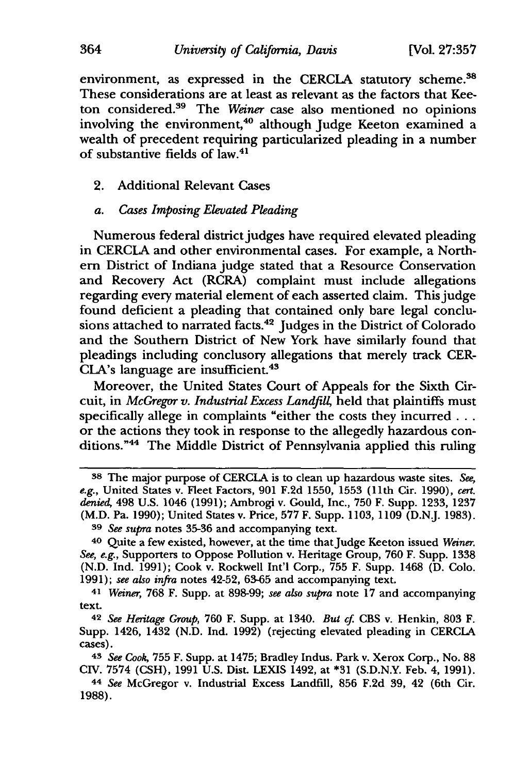environment, as expressed in the CERCLA statutory scheme.<sup>38</sup> These considerations are at least as relevant as the factors that Keeton considered.39 The *Weiner* case also mentioned no opinions involving the environment,<sup>40</sup> although Judge Keeton examined a wealth of precedent requiring particularized pleading in a number of substantive fields of law.41

2. Additional Relevant Cases

### *a. Cases Imposing Elevated Pl.eading*

Numerous federal district judges have required elevated pleading in CERCIA and other environmental cases. For example, a Northern District of Indiana judge stated that a Resource Conservation and Recovery Act (RCRA) complaint must include allegations regarding every material element of each asserted claim. This judge found deficient a pleading that contained only bare legal conclusions attached to narrated facts.<sup>42</sup> Judges in the District of Colorado and the Southern District of New York have similarly found that pleadings including conclusory allegations that merely track CER-CLA's language are insufficient.<sup>43</sup>

Moreover, the United States Court of Appeals for the Sixth Circuit, in *McGregor v. Industrial Excess Landfill*, held that plaintiffs must specifically allege in complaints "either the costs they incurred ... or the actions they took in response to the allegedly hazardous conditions."<sup>44</sup> The Middle District of Pennsylvania applied this ruling

<sup>38</sup> The major purpose of CERCLA is to clean up hazardous waste sites. *See, e.g.,* United States v. Fleet Factors, 901 F.2d 1550, 1553 (11th Cir. 1990), *cert. denied,* 498 U.S. 1046 (1991); Ambrogi v. Gould, Inc., 750 F. Supp. 1233, 1237 (M.D. Pa. 1990); United States v. Price, 577 F. Supp. 1103, 1109 (D.NJ. 1983). 39 *See supra* notes 35-36 and accompanying text.

<sup>40</sup> Quite a few existed, however, at the time that Judge Keeton issued *Weiner. See, e.g.,* Supporters to Oppose Pollution v. Heritage Group, 760 F. Supp. 1338 (N.D. Ind. 1991); Cook v. Rockwell Int'l Corp., 755 F. Supp. 1468 (D. Colo. 1991); *see also infra* notes 42-52, 63-65 and accompanying text.

<sup>41</sup> *Weiner,* 768 F. Supp. at 898-99; *see also supra* note 17 and accompanying text.

<sup>42</sup> *See Heritage Group,* 760 F. Supp. at 1340. *But cf* CBS v. Henkin, 803 F. Supp. 1426, 1432 (N.D. Ind. 1992) (rejecting elevated pleading in CERCLA cases).

<sup>43</sup> *See Cook,* 755 F. Supp. at 1475; Bradley Indus. Park v. Xerox Corp., No. 88 CIV. 7574 (CSH), 1991 U.S. Dist. LEXIS 1492, at \*31 (S.D.N.Y. Feb. 4, 1991).

<sup>44</sup> *See* McGregor v. Industrial Excess Landfill, 856 F.2d 39, 42 (6th Cir. 1988).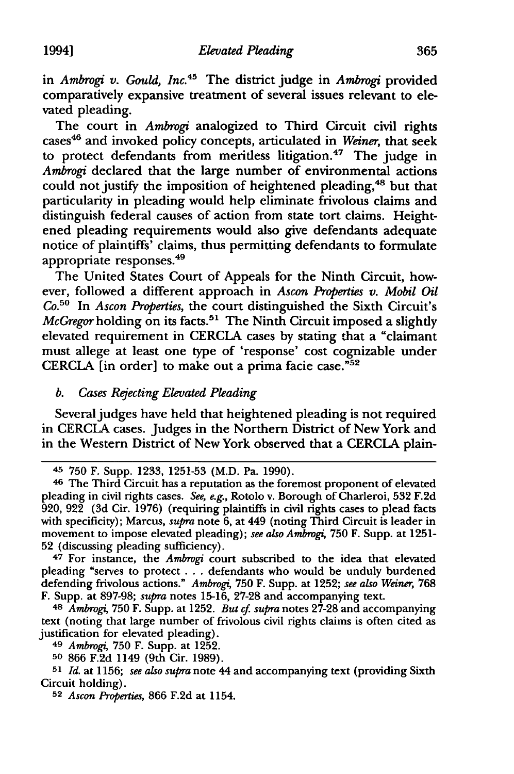in *Ambrogi v. Gould, Inc. <sup>45</sup>*The district judge in *Ambrogi* provided comparatively expansive treatment of several issues relevant to elevated pleading.

The court in *Ambrogi* analogized to Third Circuit civil rights cases46 and invoked policy concepts, articulated in *Weiner,* that seek to protect defendants from meritless litigation.<sup>47</sup> The judge in *Ambrogi* declared that the large number of environmental actions could not justify the imposition of heightened pleading,<sup>48</sup> but that particularity in pleading would help eliminate frivolous claims and distinguish federal causes of action from state tort claims. Heightened pleading requirements would also give defendants adequate notice of plaintiffs' claims, thus permitting defendants to formulate appropriate responses. <sup>49</sup>

The United States Court of Appeals for the Ninth Circuit, however, followed a different approach in *Ascon Properties v. Mobil Oil*  Co.50 In *Ascon Properties,* the court distinguished the Sixth Circuit's *McGregor* holding on its facts.<sup>51</sup> The Ninth Circuit imposed a slightly elevated requirement in CERCLA cases by stating that a "claimant must allege at least one type of 'response' cost cognizable under CERCLA  $\overline{I}$  in order] to make out a prima facie case."<sup>52</sup>

# *b.* Cases Rejecting Elevated Pleading

Several judges have held that heightened pleading is not required in CERCLA cases. Judges in the Northern District of New York and in the Western District of New York observed that a CERCLA plain-

47 For instance, the *Ambrogi* court subscribed to the idea that elevated pleading "serves to protect . . . defendants who would be unduly burdened defending frivolous actions." *Ambrogi,* 750 F. Supp. at 1252; *see also Weiner,* 768 F. Supp. at 897-98; *supra* notes 15-16, 27-28 and accompanying text.

<sup>48</sup>*Ambrogi,* 750 F. Supp. at 1252. *But cf. supra* notes 27-28 and accompanying text (noting that large number of frivolous civil rights claims is often cited as justification for elevated pleading).

49 *Ambrogi,* 750 F. Supp. at 1252.

so 866 F.2d 1149 (9th Cir. 1989).

51 *Id.* at 1156; *see also supra* note 44 and accompanying text (providing Sixth Circuit holding).

s2 *Ascon Properties,* 866 F.2d at 1154.

<sup>45 750</sup> F. Supp. 1233, 1251-53 (M.D. Pa. 1990).

<sup>46</sup> The Third Circuit has a reputation as the foremost proponent of elevated pleading in civil rights cases. *See, e.g.,* Rotolo v. Borough of Charleroi, 532 F.2d 920, 922 (3d Cir. 1976) (requiring plaintiffs in civil rights cases to plead facts with specificity); Marcus, *supra* note 6, at 449 (noting Third Circuit is leader in movement to impose elevated pleading); *see also Ambrogi,* 750 F. Supp. at 1251- 52 (discussing pleading sufficiency).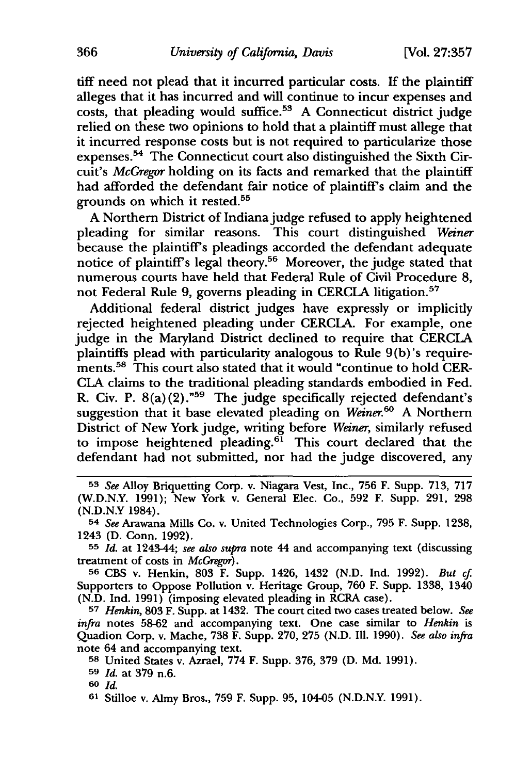tiff need not plead that it incurred particular costs. If the plaintiff alleges that it has incurred and will continue to incur expenses and costs, that pleading would suffice.<sup>53</sup> A Connecticut district judge relied on these two opinions to hold that a plaintiff must allege that it incurred response costs but is not required to particularize those expenses.54 The Connecticut court also distinguished the Sixth Circuit's *McGregor* holding on its facts and remarked that the plaintiff had afforded the defendant fair notice of plaintiff's claim and the grounds on which it rested.<sup>55</sup>

A Northern District of Indiana judge refused to apply heightened pleading for similar reasons. This court distinguished *Weiner*  because the plaintiff's pleadings accorded the defendant adequate notice of plaintiff's legal theory.56 Moreover, the judge stated that numerous courts have held that Federal Rule of Civil Procedure 8, not Federal Rule 9, governs pleading in CERCLA litigation.<sup>57</sup>

Additional federal district judges have expressly or implicitly rejected heightened pleading under CERCLA. For example, one judge in the Maryland District declined to require that CERCLA plaintiffs plead with particularity analogous to Rule  $9(b)$ 's requirements.<sup>58</sup> This court also stated that it would "continue to hold CER-Cl.A claims to the traditional pleading standards embodied in Fed. R. Civ. P. 8(a)(2)."59 The judge specifically rejected defendant's suggestion that it base elevated pleading on *Weiner. <sup>60</sup>*A Northern District of New York judge, writing before *Weiner,* similarly refused to impose heightened pleading.<sup>61</sup> This court declared that the defendant had not submitted, nor had the judge discovered, any

56 CBS v. Henkin, 803 F. Supp. 1426, 1432 (N.D. Ind. 1992). *But* cf. Supporters to Oppose Pollution v. Heritage Group, 760 F. Supp. 1338, 1340 (N.D. Ind. 1991) (imposing elevated pleading in RCRA case).

57 *Henkin,* 803 F. Supp. at 1432. The court cited two cases treated below. *See infra* notes 58-62 and accompanying text. One case similar to *Henkin* is Quadion Corp. v. Mache, 738 F. Supp. 270, 275 (N.D. Ill. 1990). *See also infra*  note 64 and accompanying text.

58 United States v. Azrael, 774 F. Supp. 376, 379 (D. Md. 1991).

60 *Id.* 

61 Stilloe v. Almy Bros., 759 F. Supp. 95, 104-05 (N.D.N.Y. 1991).

<sup>53</sup> *See* Alloy Briquetting Corp. v. Niagara Vest, Inc., 756 F. Supp. 713, 717 (W.D.N.Y. 1991); New York v. General Elec. Co., 592 F. Supp. 291, 298 (N.D.N.Y 1984).

<sup>54</sup> *See* Arawana Mills Co. v. United Technologies Corp., 795 F. Supp. 1238, 1243 (D. Conn. 1992).

<sup>55</sup> *Id.* at 1243-44; *see also supra* note 44 and accompanying text (discussing treatment of costs in *McGregor).* 

<sup>59</sup> *Id.* at 379 n.6.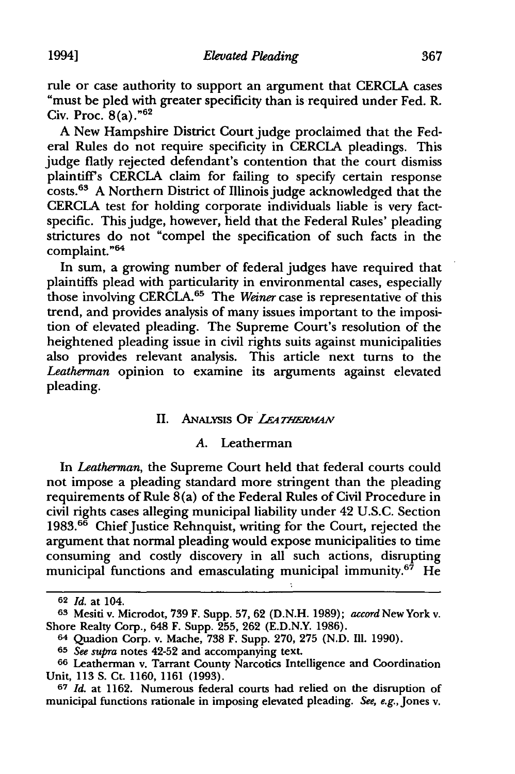rule or case authority to support an argument that CERClA cases "must be pied with greater specificity than is required under Fed. R. Civ. Proc.  $8(a)$ ."<sup>62</sup>

A New Hampshire District Court judge proclaimed that the Federal Rules do not require specificity in CERClA pleadings. This judge flatly rejected defendant's contention that the court dismiss plaintiff's CERClA claim for failing to specify certain response costs. 63 A Northern District of Illinois judge acknowledged that the CERClA test for holding corporate individuals liable is very factspecific. This judge, however, held that the Federal Rules' pleading strictures do not "compel the specification of such facts in the complaint. "64

In sum, a growing number of federal judges have required that plaintiffs plead with particularity in environmental cases, especially those involving CERCLA.<sup>65</sup> The *Weiner* case is representative of this trend, and provides analysis of many issues important to the imposition of elevated pleading. The Supreme Court's resolution of the heightened pleading issue in civil rights suits against municipalities also provides relevant analysis. This article next turns to the *Leatherman* opinion to examine its arguments against elevated pleading.

#### II. ANALYSIS OF *LEATHERMAN*

#### *A.* Leatherman

In *Leatherman,* the Supreme Court held that federal courts could not impose a pleading standard more stringent than the pleading requirements of Rule 8(a) of the Federal Rules of Civil Procedure in civil rights cases alleging municipal liability under 42 U.S.C. Section 1983.<sup>66</sup> Chief Justice Rehnquist, writing for the Court, rejected the argument that normal pleading would expose municipalities to time consuming and costly discovery in all such actions, disrupting municipal functions and emasculating municipal immunity.<sup>67</sup> He

<sup>62</sup> *Id.* at 104.

<sup>63</sup> Mesiti v. Microdot, 739 F. Supp. 57, 62 (D.N.H. 1989); *accord* New York v. Shore Realty Corp., 648 F. Supp. 255, 262 (E.D.N.Y. 1986).

<sup>64</sup> Quadion Corp. v. Mache, 738 F. Supp. 270, 275 (N.D. Ill. 1990).

<sup>65</sup> *See supra* notes 42-52 and accompanying text.

<sup>66</sup> Leatherman v. Tarrant County Narcotics Intelligence and Coordination Unit, 113 S. Ct. 1160, 1161 (1993).

<sup>67</sup> *Id.* at 1162. Numerous federal courts had relied on the disruption of municipal functions rationale in imposing elevated pleading. *See, e.g.,* Jones v.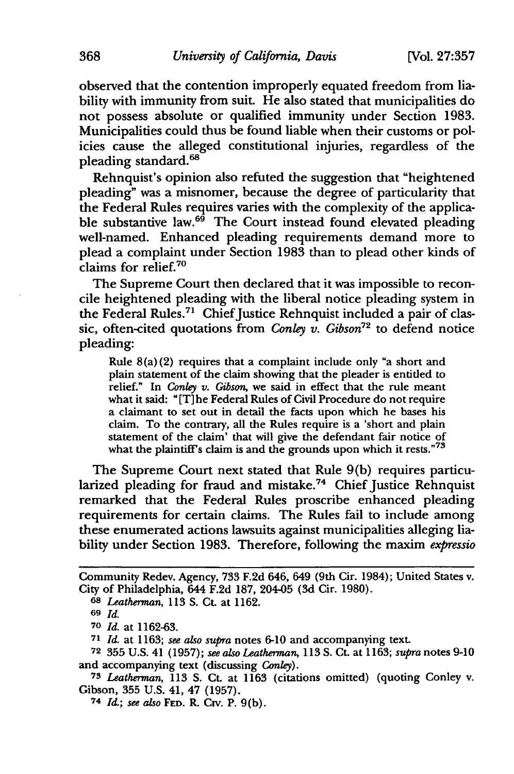observed that the contention improperly equated freedom from liability with immunity from suit. He also stated that municipalities do not possess absolute or qualified immunity under Section 1983. Municipalities could thus be found liable when their customs or policies cause the alleged constitutional injuries, regardless of the pleading standard.<sup>68</sup>

Rehnquist's opinion also refuted the suggestion that "heightened pleading" was a misnomer, because the degree of particularity that the Federal Rules requires varies with the complexity of the applicable substantive law.<sup>69</sup> The Court instead found elevated pleading well-named. Enhanced pleading requirements demand more to plead a complaint under Section 1983 than to plead other kinds of claims for relief. 70

The Supreme Court then declared that it was impossible to reconcile heightened pleading with the liberal notice pleading system in the Federal Rules.<sup>71</sup> Chief Justice Rehnquist included a pair of classic, often-cited quotations from *Conley v. Gibson*<sup>72</sup> to defend notice pleading:

Rule  $8(a)(2)$  requires that a complaint include only "a short and plain statement of the claim showing that the pleader is entitled to relief." In *Conley* v. Gibson, we said in effect that the rule meant what it said: "(T]he Federal Rules of Civil Procedure do not require a claimant to set out in detail the facts upon which he bases his claim. To the contrary, all the Rules require is a 'short and plain statement of the claim' that will give the defendant fair notice of what the plaintiff's claim is and the grounds upon which it rests."<sup>73</sup>

The Supreme Court next stated that Rule 9(b) requires particularized pleading for fraud and mistake.<sup>74</sup> Chief Justice Rehnquist remarked that the Federal Rules proscribe enhanced pleading requirements for certain claims. The Rules fail to include among these enumerated actions lawsuits against municipalities alleging liability under Section 1983. Therefore, following the maxim *expressio* 

Community Redev. Agency, 733 F.2d 646, 649 (9th Cir. 1984); United States v. City of Philadelphia, 644 F.2d 187, 204-05 (3d Cir. 1980).

<sup>68</sup> *Leatherman,* 113 S. Ct. at 1162.

<sup>69</sup> *Id.* 

*<sup>10</sup> Id.* at 1162-63.

<sup>71</sup> Id. at 1163; see also supra notes 6-10 and accompanying text.

<sup>72 355</sup> U.S. 41 (1957); *see al.so Leatherman,* 113 S. Ct. at 1163; *supra* notes 9-10 and accompanying text (discussing *Conley).* 

<sup>73</sup> *Leatherman,* 113 S. Ct. at 1163 (citations omitted) (quoting Conley v. Gibson, 355 U.S. 41, 47 (1957).

<sup>74</sup> *Id.; see al.so* FED. R *Cw.* P. 9(b).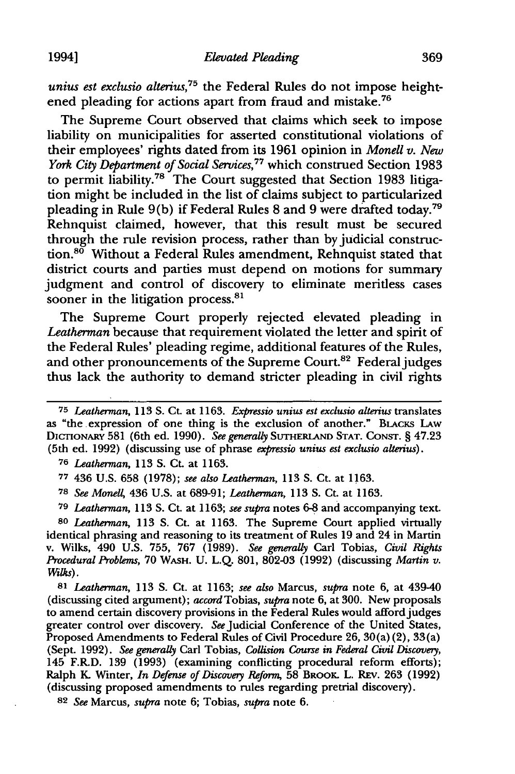*unius est exclusio alterius*,<sup>75</sup> the Federal Rules do not impose heightened pleading for actions apart from fraud and mistake. 76

The Supreme Court observed that claims which seek to impose liability on municipalities for asserted constitutional violations of their employees' rights dated from its 1961 opinion in *Monell v. New York City Department of Social Services,* 77 which construed Section 1983 to permit liability.<sup>78</sup> The Court suggested that Section 1983 litigation might be included in the list of claims subject to particularized pleading in Rule 9(b) if Federal Rules 8 and 9 were drafted today.<sup>79</sup> Rehnquist claimed, however, that this result must be secured through the rule revision process, rather than by judicial construction.<sup>80</sup> Without a Federal Rules amendment, Rehnquist stated that district courts and parties must depend on motions for summary judgment and control of discovery to eliminate meritless cases sooner in the litigation process. $81$ 

The Supreme Court properly rejected elevated pleading in *Leatherman* because that requirement violated the letter and spirit of the Federal Rules' pleading regime, additional features of the Rules, and other pronouncements of the Supreme Court.<sup>82</sup> Federal judges thus lack the authority to demand stricter pleading in civil rights

76 *Leatherman,* 113 S. Ct. at 1163.

77 436 U.S. 658 (1978); *see also Leatherman,* 113 S. Ct. at 1163.

78 *See* Monel~ 436 U.S. at 689-91; *Leatherman,* 113 S. Ct. at 1163.

79 *Leatherman,* 113 S. Ct. at 1163; *see supra* notes 6-8 and accompanying text.

so *Leatherman,* 113 S. Ct. at 1163. The Supreme Court applied virtually identical phrasing and reasoning to its treatment of Rules 19 and 24 in Martin v. Wilks, 490 U.S. 755, 767 (1989). *See generally* Carl Tobias, *Civil Rights Procedural Problems,* 70 WASH. U. L.Q. 801, 802-03 (1992) (discussing *Martin v.*  Wilks).

81 *Leatherman,* 113 S. Ct. at 1163; *see also* Marcus, *supra* note 6, at 439-40 (discussing cited argument); *accord* Tobias, *supra* note 6, at 300. New proposals to amend certain discovery provisions in the Federal Rules would afford judges greater control over discovery. *See* Judicial Conference of the United States, Proposed Amendments to Federal Rules of Civil Procedure 26, 30(a) (2), 33(a) (Sept. 1992). *See generally* Carl Tobias, *Collision Course in Federal Civil Discovery,*  145 F.RD. 139 (1993) (examining conflicting procedural reform efforts); Ralph K. Winter, *In Defense of Discovery Reform*, 58 BROOK. L. REV. 263 (1992) (discussing proposed amendments to rules regarding pretrial discovery).

82 *See* Marcus, *supra* note 6; Tobias, *supra* note 6.

<sup>75</sup> *Leatherman,* 113 S. Ct. at 1163. *Expressio unius est exclusio alterius* translates as "the .expression of one thing is the exclusion of another." BLACKS LAw DICTIONARY 581 (6th ed. 1990). *See generally* SUTHERLAND STAT. CONST.§ 47.23 (5th ed. 1992) (discussing use of phrase *expressio unius est exclusio alterius).*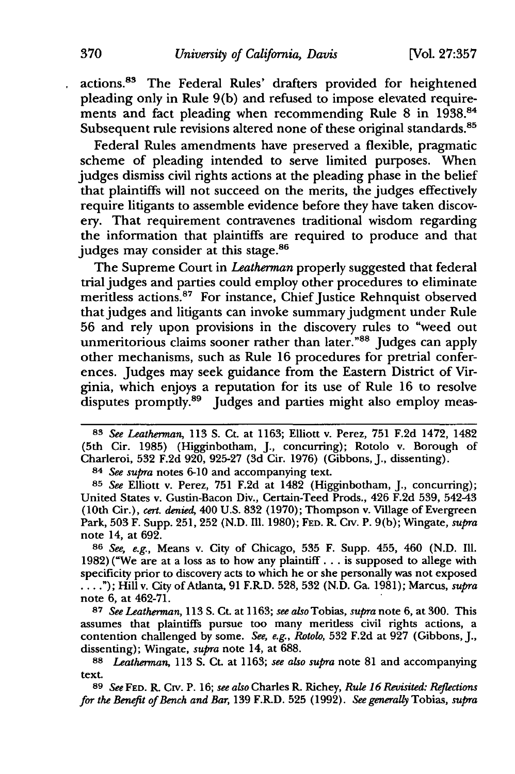actions.83 The Federal Rules' drafters provided for heightened pleading only in Rule  $9(b)$  and refused to impose elevated requirements and fact pleading when recommending Rule 8 in 1938.<sup>84</sup> Subsequent rule revisions altered none of these original standards.<sup>85</sup>

Federal Rules amendments have preserved a flexible, pragmatic scheme of pleading intended to serve limited purposes. When judges dismiss civil rights actions at the pleading phase in the belief that plaintiffs will not succeed on the merits, the judges effectively require litigants to assemble evidence before they have taken discovery. That requirement contravenes traditional wisdom regarding the information that plaintiffs are required to produce and that judges may consider at this stage.<sup>86</sup>

The Supreme Court in *Leatherman* properly suggested that federal trial judges and parties could employ other procedures to eliminate meritless actions.<sup>87</sup> For instance, Chief Justice Rehnquist observed that judges and litigants can invoke summary judgment under Rule 56 and rely upon provisions in the discovery rules to "weed out unmeritorious claims sooner rather than later."88 Judges can apply other mechanisms, such as Rule 16 procedures for pretrial conferences. Judges may seek guidance from the Eastern District of Virginia, which enjoys a reputation for its use of Rule 16 to resolve disputes promptly.<sup>89</sup> Judges and parties might also employ meas-

84 *See supra* notes 6-10 and accompanying text.

85 *See* Elliott v. Perez, 751 F.2d at 1482 (Higginbotham, J., concurring); United States v. Gustin-Bacon Div., Certain-Teed Prods., 426 F.2d 539, 542-43 (10th Cir.), *cert. denied,* 400 U.S. 832 ( 1970); Thompson v. Village of Evergreen Park, 503 F. Supp. 251, 252 (N.D. Ill. 1980); FED. R. *Cw.* P. 9(b); Wingate, *supra*  note 14, at 692.

86 *See, e.g.,* Means v. City of Chicago, 535 F. Supp. 455, 460 (N.D. Ill. 1982) ("We are at a loss as to how any plaintiff ... is supposed to allege with specificity prior to discovery acts to which he or she personally was not exposed ..."); Hill v. City of Atlanta, 91 F.R.D. 528, 532 (N.D. Ga. 1981); Marcus, *supra* note  $6.$  at  $462-71.$ 

87 *See Leatherman,* 113 S. Ct. at 1163; *see also* Tobias, *supra* note 6, at 300. This assumes that plaintiffs pursue too many meritless civil rights actions, a contention challenged by some. *See, e.g., &tow,* 532 F.2d at 927 (Gibbons, J., dissenting); Wingate, *supra* note 14, at 688.

88 *Leatherman,* 113 S. Ct. at 1163; *see also supra* note 81 and accompanying text.

89 *See* FED. R. Crv. P. 16; see also Charles R. Richey, *Rule 16 Revisited: Reflections for the Benefit of Bench and Bar,* 139 F.R.D. 525 (1992). *See generally* Tobias, *supra* 

<sup>83</sup> *See Leatherman,* 113 S. Ct. at 1163; Elliott v. Perez, 751 F.2d 1472, 1482 (5th Cir. 1985) (Higginbotham, J., concurring); Rotolo v. Borough of Charleroi, 532 F.2d 920, 925-27 (3d Cir. 1976) (Gibbons, j., dissenting).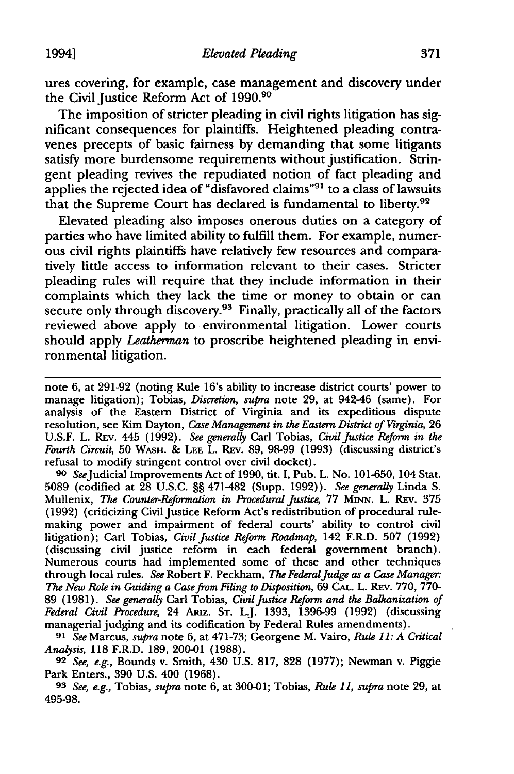ures covering, for example, case management and discovery under the Civil Justice Reform Act of 1990.90

The imposition of stricter pleading in civil rights litigation has significant consequences for plaintiffs. Heightened pleading contravenes precepts of basic fairness by demanding that some litigants satisfy more burdensome requirements without justification. Stringent pleading revives the repudiated notion of fact pleading and applies the rejected idea of "disfavored claims"<sup>91</sup> to a class of lawsuits that the Supreme Court has declared is fundamental to liberty.92

Elevated pleading also imposes onerous duties on a category of parties who have limited ability to fulfill them. For example, numerous civil rights plaintiffs have relatively few resources and comparatively little access to information relevant to their cases. Stricter pleading rules will require that they include information in their complaints which they lack the time or money to obtain or can secure only through discovery.<sup>93</sup> Finally, practically all of the factors reviewed above apply to environmental litigation. Lower courts should apply *Leatherman* to proscribe heightened pleading in environmental litigation.

note 6, at 291-92 (noting Rule 16's ability to increase district courts' power to manage litigation); Tobias, *Discretion, supra* note 29, at 942-46 (same). For analysis of the Eastern District of Virginia and its expeditious dispute resolution, see Kim Dayton, *Case Management in the Eastern District of Virginia*, 26 U.S.F. L. REv. 445 (1992). *See generally* Carl Tobias, *Civil justice Reform in the Fourth Circuit,* 50 WASH. & LEE L. REv. 89, 98-99 (1993) (discussing district's refusal to modify stringent control over civil docket).

90 *See* Judicial Improvements Act of 1990, tit. I, Pub. L. No. 101-650, 104 Stat. 5089 (codified at 28 U.S.C. §§ 471-482 (Supp. 1992)). *See generally* Linda S. Mullenix, *The Counter-Reformation in Procedural justice,* 77 MINN. L. REv. 375 ( 1992) (criticizing Civil Justice Reform Act's redistribution of procedural rulemaking power and impairment of federal courts' ability to control civil litigation); Carl Tobias, *Civil Justice Reform Roadmap,* 142 F.R.D. 507 (1992) (discussing civil justice reform in each federal government branch). Numerous courts had implemented some of these and other techniques through local rules. *See* Robert F. Peckham, *The Federal judge as a Case Manager: The New Role in Guiding a Case* from *Filing to Disposition,* 69 CAL. L. REv. 770, 770- 89 (1981). See generally Carl Tobias, *Civil Justice Reform and the Balkanization of Federal Civil Procedure,* 24 ARiz. ST. LJ. 1393, 1396-99 (1992) (discussing managerial judging and its codification by Federal Rules amendments).

91 *See* Marcus, *supra* note 6, at 4 71-73; Georgene M. Vairo, *Rule 11: A Critical Analysis,* 118 F.R.D. 189, 200-01 (1988).

92 *See, e.g.,* Bounds v. Smith, 430 U.S. 817, 828 (1977); Newman v. Piggie Park Enters., 390 U.S. 400 (1968).

93 *See, e.g.,* Tobias, *supra* note 6, at 300-01; Tobias, *Rule 11, supra* note 29, at 495-98.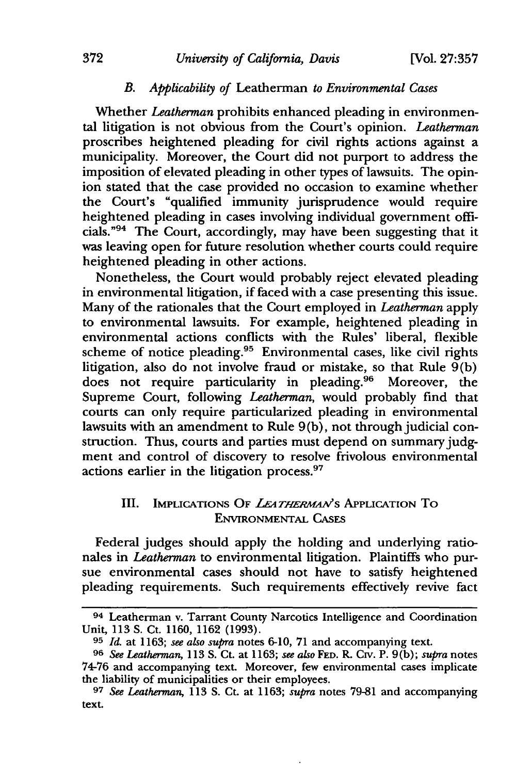# *B. Applicability of* Leatherman *to Environmental Cases*

Whether *Leatherman* prohibits enhanced pleading in environmental litigation is not obvious from the Court's opinion. *Leatherman*  proscribes heightened pleading for civil rights actions against a municipality. Moreover, the Court did not purport to address the imposition of elevated pleading in other types of lawsuits. The opinion stated that the case provided no occasion to examine whether the Court's "qualified immunity jurisprudence would require heightened pleading in cases involving individual government officials. "94 The Court, accordingly, may have been suggesting that it was leaving open for future resolution whether courts could require heightened pleading in other actions.

Nonetheless, the Court would probably reject elevated pleading in environmental litigation, if faced with a case presenting this issue. Many of the rationales that the Court employed in *Leatherman* apply to environmental lawsuits. For example, heightened pleading in environmental actions conflicts with the Rules' liberal, flexible scheme of notice pleading.<sup>95</sup> Environmental cases, like civil rights litigation, also do not involve fraud or mistake, so that Rule  $\tilde{9}$ (b) does not require particularity in pleading.<sup>96</sup> Moreover, the Supreme Court, following *Leatherman,* would probably find that courts can only require particularized pleading in environmental lawsuits with an amendment to Rule 9(b), not through judicial construction. Thus, courts and parties must depend on summary judgment and control of discovery to resolve frivolous environmental actions earlier in the litigation process.<sup>97</sup>

## III. IMPLICATIONS OF *LEATHERMAN'*S APPLICATION TO ENVIRONMENTAL CAsES

Federal judges should apply the holding and underlying rationales in *Leatherman* to environmental litigation. Plaintiffs who pursue environmental cases should not have to satisfy heightened pleading requirements. Such requirements effectively revive fact

<sup>94</sup> Leatherman v. Tarrant County Narcotics Intelligence and Coordination Unit, 113 S. Ct. 1160, 1162 (1993).

<sup>&</sup>lt;sup>95</sup> *Id.* at 1163; see also supra notes 6-10, 71 and accompanying text.

<sup>96</sup> *See Leatherman,* 113 S. Ct. at 1163; *see a/,so* FED. R. *Cw.* P. 9(b); *supra* notes 74-76 and accompanying text. Moreover, few environmental cases implicate the liability of municipalities or their employees.

<sup>97</sup> *See Leatherman,* 113 S. Ct. at 1163; *supra* notes 79-81 and accompanying text.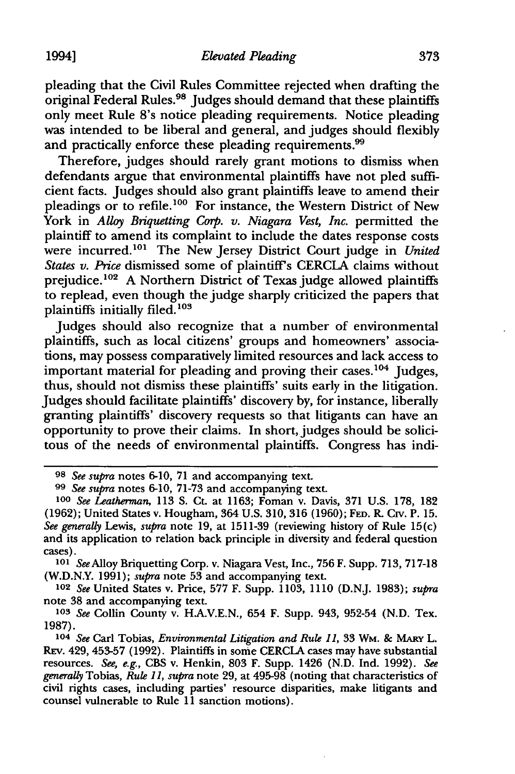pleading that the Civil Rules Committee rejected when drafting the original Federal Rules.<sup>98</sup> Judges should demand that these plaintiffs only meet Rule S's notice pleading requirements. Notice pleading was intended to be liberal and general, and judges should flexibly and practically enforce these pleading requirements.<sup>99</sup>

Therefore, judges should rarely grant motions to dismiss when defendants argue that environmental plaintiffs have not pied sufficient facts. Judges should also grant plaintiffs leave to amend their pleadings or to refile.<sup>100</sup> For instance, the Western District of New York in *Alloy Briquetting Corp. v. Niagara Vest, Inc.* permitted the plaintiff to amend its complaint to include the dates response costs were incurred. 101 The New Jersey District Court judge in *United States v. Price* dismissed some of plaintiff's CERCIA claims without prejudice. 102 A Northern District of Texas judge allowed plaintiffs to replead, even though the judge sharply criticized the papers that plaintiffs initially filed.<sup>103</sup>

Judges should also recognize that a number of environmental plaintiffs, such as local citizens' groups and homeowners' associations, may possess comparatively limited resources and lack access to important material for pleading and proving their cases.<sup>104</sup> Judges, thus, should not dismiss these plaintiffs' suits early in the litigation. Judges should facilitate plaintiffs' discovery by, for instance, liberally granting plaintiffs' discovery requests so that litigants can have an opportunity to prove their claims. In short, judges should be solicitous of the needs of environmental plaintiffs. Congress has indi-

<sup>101</sup>*See* Alloy Briquetting Corp. v. Niagara Vest, Inc., 756 F. Supp. 713, 717-18 (W.D.N.Y. 1991); *supra* note 53 and accompanying text.

102 *See* United States v. Price, 577 F. Supp. 1103, 1110 (D.NJ. 1983); *supra*  note 38 and accompanying text.

103 *See* Collin County v. HA.V.E.N., 654 F. Supp. 943, 952-54 (N.D. Tex. 1987).

104 See Carl Tobias, *Environmental Litigation and Rule 11*, 33 Wm. & MARY L. REv. 429, 453-57 (1992). Plaintiffs in some CERCIA cases may have substantial resources. *See, e.g.,* CBS v. Henkin, 803 F. Supp. 1426 (N.D. Ind. 1992). *See generally* Tobias, *Rul.e 11, supra* note 29, at 495-98 (noting that characteristics of civil rights cases, including parties' resource disparities, make litigants and counsel vulnerable to Rule 11 sanction motions).

<sup>98</sup> *See supra* notes 6-10, 71 and accompanying text.

<sup>99</sup> *See supra* notes 6-10, 71-73 and accompanying text.

<sup>100</sup> *See Leatherman*, 113 S. Ct. at 1163; Foman v. Davis, 371 U.S. 178, 182 (1962); United States v. Hougham, 364 U.S. 310, 316 (1960); FED. R CIV. P. 15. *See generally* Lewis, *supra* note 19, at 1511-39 (reviewing history of Rule 15(c) and its application to relation back principle in diversity and federal question cases).